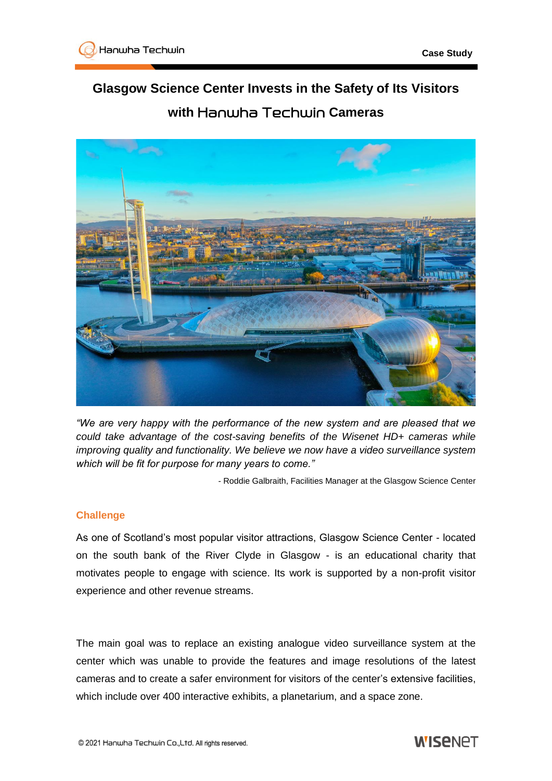## **Glasgow Science Center Invests in the Safety of Its Visitors with** Hanwha Techwin **Cameras**



*"We are very happy with the performance of the new system and are pleased that we could take advantage of the cost-saving benefits of the Wisenet HD+ cameras while improving quality and functionality. We believe we now have a video surveillance system which will be fit for purpose for many years to come."*

- Roddie Galbraith, Facilities Manager at the Glasgow Science Center

## **Challenge**

As one of Scotland's most popular visitor attractions, Glasgow Science Center - located on the south bank of the River Clyde in Glasgow - is an educational charity that motivates people to engage with science. Its work is supported by a non-profit visitor experience and other revenue streams.

The main goal was to replace an existing analogue video surveillance system at the center which was unable to provide the features and image resolutions of the latest cameras and to create a safer environment for visitors of the center's extensive facilities, which include over 400 interactive exhibits, a planetarium, and a space zone.

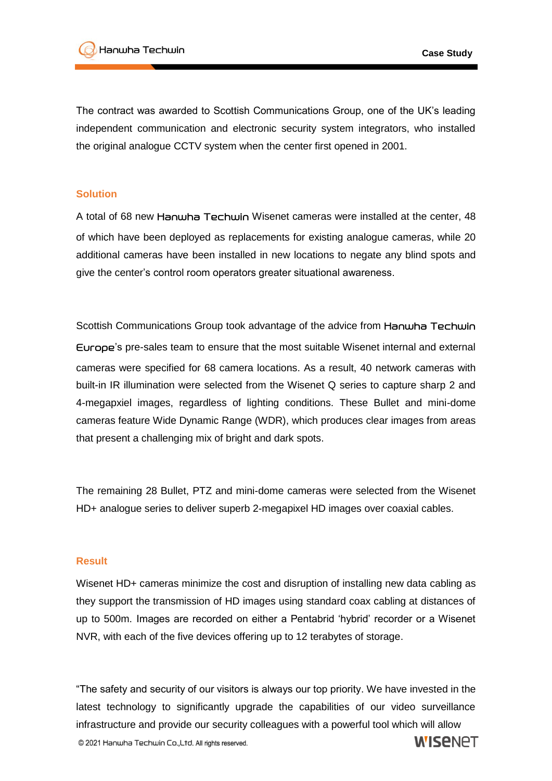The contract was awarded to Scottish Communications Group, one of the UK's leading independent communication and electronic security system integrators, who installed the original analogue CCTV system when the center first opened in 2001.

## **Solution**

A total of 68 new Hanwha Techwin Wisenet cameras were installed at the center, 48 of which have been deployed as replacements for existing analogue cameras, while 20 additional cameras have been installed in new locations to negate any blind spots and give the center's control room operators greater situational awareness.

Scottish Communications Group took advantage of the advice from Hanwha Techwin Europe's pre-sales team to ensure that the most suitable Wisenet internal and external cameras were specified for 68 camera locations. As a result, 40 network cameras with built-in IR illumination were selected from the Wisenet Q series to capture sharp 2 and 4-megapxiel images, regardless of lighting conditions. These Bullet and mini-dome cameras feature Wide Dynamic Range (WDR), which produces clear images from areas that present a challenging mix of bright and dark spots.

The remaining 28 Bullet, PTZ and mini-dome cameras were selected from the Wisenet HD+ analogue series to deliver superb 2-megapixel HD images over coaxial cables.

## **Result**

Wisenet HD+ cameras minimize the cost and disruption of installing new data cabling as they support the transmission of HD images using standard coax cabling at distances of up to 500m. Images are recorded on either a Pentabrid 'hybrid' recorder or a Wisenet NVR, with each of the five devices offering up to 12 terabytes of storage.

"The safety and security of our visitors is always our top priority. We have invested in the latest technology to significantly upgrade the capabilities of our video surveillance infrastructure and provide our security colleagues with a powerful tool which will allow